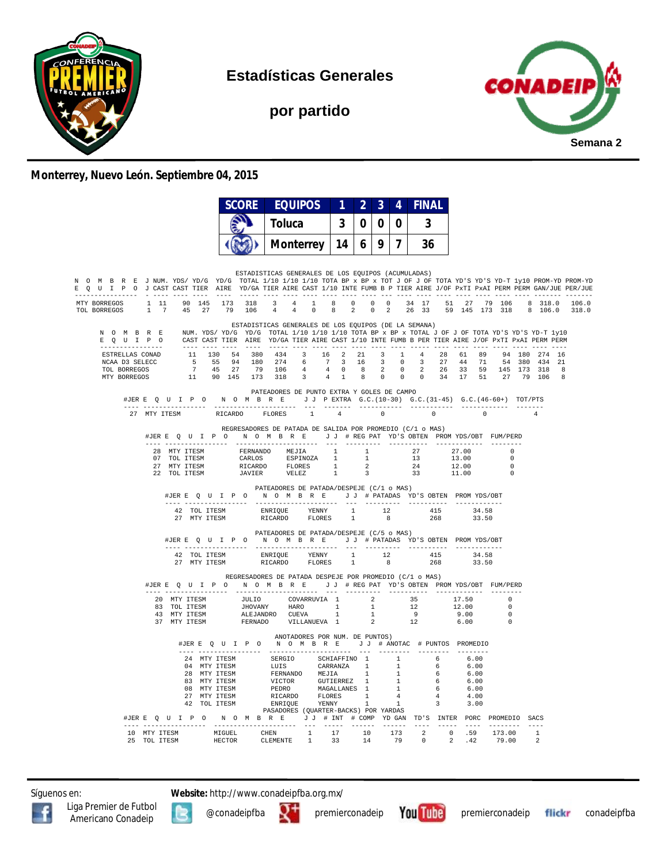

**Estadísticas Generales**

**por partido**



## **Monterrey, Nuevo León. Septiembre 04, 2015**

|                                                                                                                                                                                                                                                                                                                         | <b>SCORE</b>                                           | <b>EQUIPOS</b>                                                                                                                                                                                                                           |                    | $\begin{array}{ c c c c c } \hline 2 & 3 \\ \hline \end{array}$ |       | <b>4</b> | <b>FINAL</b>                                                                                                                  |                              |                                                    |                |     |
|-------------------------------------------------------------------------------------------------------------------------------------------------------------------------------------------------------------------------------------------------------------------------------------------------------------------------|--------------------------------------------------------|------------------------------------------------------------------------------------------------------------------------------------------------------------------------------------------------------------------------------------------|--------------------|-----------------------------------------------------------------|-------|----------|-------------------------------------------------------------------------------------------------------------------------------|------------------------------|----------------------------------------------------|----------------|-----|
|                                                                                                                                                                                                                                                                                                                         |                                                        | <b>Toluca</b>                                                                                                                                                                                                                            | 3                  | $\bf{0}$                                                        | 0     | $\bf{0}$ | $\overline{3}$                                                                                                                |                              |                                                    |                |     |
|                                                                                                                                                                                                                                                                                                                         |                                                        | <b>Monterrey</b>                                                                                                                                                                                                                         | 14                 | 6 I                                                             | 9   7 |          | 36                                                                                                                            |                              |                                                    |                |     |
|                                                                                                                                                                                                                                                                                                                         |                                                        |                                                                                                                                                                                                                                          |                    |                                                                 |       |          |                                                                                                                               |                              |                                                    |                |     |
| N O M B R E J NUM. YDS/YD/G YD/G TOTAL 1/10 1/10 1/10 TOTA BP x BP x TOT J OF J OF TOTA YD'S YD-T 1y10 PROM-YD PROM-YD<br>E Q U I P O J CAST CAST TIER AIRE YD/GA TIER AIRE CAST 1/10 INTE FUMB B P TIER AIRE J/OF PXTI PXAI PERM PERM GAN/JUE PER/JUE<br>--------                                                      |                                                        | ESTADISTICAS GENERALES DE LOS EQUIPOS (ACUMULADAS)                                                                                                                                                                                       |                    |                                                                 |       |          |                                                                                                                               |                              |                                                    |                |     |
| MTY BORREGOS 1 11 90 145 173 318 3 4 1 8 0 0 0 34 17 51 27 79 106 8 318.0 106.0<br>TOL BORREGOS 1 7 45 27 79 106 4 4 0 8 2 0 2 26 33 59 145 173 318 8 106.0 318.0                                                                                                                                                       |                                                        |                                                                                                                                                                                                                                          |                    |                                                                 |       |          |                                                                                                                               |                              |                                                    |                |     |
| N O M B R E NUM. YDS/YD/G YD/G TOTAL 1/10 1/10 1/10 TOTA BP x BP x TOTAL J OF J OF TOTA YD'S YD-T 1y10<br>E O U I P O CAST CAST TIER AIRE YD/GA TIER AIRE CAST 1/10 INTE FUMB B PER TIER AIRE J/OF PXTI PXAI PERM PERM<br>-------------                                                                                 |                                                        | ESTADISTICAS GENERALES DE LOS EQUIPOS (DE LA SEMANA)                                                                                                                                                                                     |                    |                                                                 |       |          |                                                                                                                               |                              |                                                    |                |     |
| ESTRELLAS CONAD $11$ 130 54 380 434<br>NCAA D3 SELECC<br>TOL BORREGOS<br>MTY BORREGOS                                                                                                                                                                                                                                   | 5 55 94 180 274<br>7 45 27 79 106<br>11 90 145 173 318 |                                                                                                                                                                                                                                          | 3 16 2 21<br>3 4 1 |                                                                 |       |          | 3 1 4 28 61 89<br>6 7 3 16 3 0 3 27 44 71 54 380 434 21<br>4 4 0 8 2 0 2 26 33 59 145 173 318<br>8 0 0 0 34 17 51 27 79 106 8 |                              |                                                    | 94 180 274 16  | - 8 |
| #JERE Q U I P O N O M B R E J J PEXTRA G.C. (10-30) G.C. (31-45) G.C. (46-60+) TOT/PTS                                                                                                                                                                                                                                  |                                                        | PATEADORES DE PUNTO EXTRA Y GOLES DE CAMPO                                                                                                                                                                                               |                    |                                                                 |       |          |                                                                                                                               |                              |                                                    |                |     |
| 27 MTY ITESM                                                                                                                                                                                                                                                                                                            |                                                        | RICARDO FLORES 1 4                                                                                                                                                                                                                       |                    | $\sim$ 0 $\sim$ 0                                               |       |          | $\sim$ 0                                                                                                                      | $\overline{0}$               |                                                    |                |     |
| #JERE Q U I P O N O M B R E J J # REG PAT YD'S OBTEN PROMYDS/OBT FUM/PERD                                                                                                                                                                                                                                               |                                                        | REGRESADORES DE PATADA DE SALIDA POR PROMEDIO (C/1 o MAS)                                                                                                                                                                                |                    |                                                                 |       |          |                                                                                                                               |                              |                                                    |                |     |
|                                                                                                                                                                                                                                                                                                                         |                                                        |                                                                                                                                                                                                                                          |                    |                                                                 |       |          |                                                                                                                               |                              | $\sqrt{ }$                                         |                |     |
| 22 TOL ITESM                                                                                                                                                                                                                                                                                                            |                                                        | JAVIER VELEZ                                                                                                                                                                                                                             | $\sim$ 1           | $\overline{3}$                                                  |       |          | $\begin{array}{ccc} 13 & & 13.11 \\ 24 & & 12.00 \\ 13.00 & & 11.00 \end{array}$                                              |                              | $\overline{0}$<br>$\overline{0}$<br>$\overline{0}$ |                |     |
|                                                                                                                                                                                                                                                                                                                         |                                                        | PATEADORES DE PATADA/DESPEJE (C/1 o MAS)<br>#JERE Q U I P O N O M B R E J J # PATADAS YD'S OBTEN PROMYDS/OBT                                                                                                                             |                    |                                                                 |       |          |                                                                                                                               |                              |                                                    |                |     |
| 42 TOL ITESM<br>27 MTY ITESM                                                                                                                                                                                                                                                                                            |                                                        | ENRIQUE YENNY 1 12 415<br>RICARDO FLORES 1 8 268                                                                                                                                                                                         |                    |                                                                 |       |          | 268                                                                                                                           | 34.58<br>33.50               |                                                    |                |     |
|                                                                                                                                                                                                                                                                                                                         |                                                        | PATEADORES DE PATADA/DESPEJE (C/5 o MAS)<br>#JERE Q U I P O N O M B R E J J # PATADAS YD'S OBTEN PROMYDS/OBT                                                                                                                             |                    |                                                                 |       |          |                                                                                                                               |                              |                                                    |                |     |
|                                                                                                                                                                                                                                                                                                                         |                                                        |                                                                                                                                                                                                                                          |                    |                                                                 |       |          | $\begin{array}{ccc} 1 & 12 & 415 \\ 1 & 8 & 268 \end{array}$                                                                  | 34.58<br>33.50               |                                                    |                |     |
|                                                                                                                                                                                                                                                                                                                         |                                                        | REGRESADORES DE PATADA DESPEJE POR PROMEDIO (C/1 o MAS)                                                                                                                                                                                  |                    |                                                                 |       |          |                                                                                                                               |                              |                                                    |                |     |
| #JERE QUIPO NOMBRE JJ #REGPAT YD'S OBTEN PROMYDS/OBT FUM/PERD                                                                                                                                                                                                                                                           |                                                        |                                                                                                                                                                                                                                          |                    |                                                                 |       |          |                                                                                                                               |                              |                                                    |                |     |
| $\begin{tabular}{lllllllllllllllllllll} \hline 20&\text{MTY}\ \text{ITESM} &\text{JULIO} & \text{COVARUVIA} & 1 & 2 & 35 \\ \hline 83&\text{TOL}\ \text{ITESM} & \text{JHOVANY} & \text{HARO} & 1 & 1 & 12 \\ \hline 43&\text{MTY}\ \text{ITESM} & \text{ALEJANDRO} & \text{CUEVA} & 1 & 1 & 9 \\ \hline \end{tabular}$ |                                                        |                                                                                                                                                                                                                                          |                    |                                                                 |       |          |                                                                                                                               | $17.50$<br>$12.00$           | $\begin{array}{c} 0 \\ 0 \\ \hline \end{array}$    |                |     |
| 37 MTY ITESM                                                                                                                                                                                                                                                                                                            |                                                        | FERNADO VILLANUEVA 1                                                                                                                                                                                                                     |                    |                                                                 | 2     |          | 12                                                                                                                            | 9.00<br>6.00                 | $\overline{\phantom{0}}$<br>$\sim$ 0               |                |     |
|                                                                                                                                                                                                                                                                                                                         |                                                        | ANOTADORES POR NUM. DE PUNTOS)                                                                                                                                                                                                           |                    |                                                                 |       |          |                                                                                                                               |                              |                                                    |                |     |
|                                                                                                                                                                                                                                                                                                                         |                                                        | #JERE OUIP ON OMBRE JJ # ANOTAC # PUNTOS PROMEDIO                                                                                                                                                                                        |                    |                                                                 |       |          |                                                                                                                               |                              |                                                    |                |     |
|                                                                                                                                                                                                                                                                                                                         |                                                        |                                                                                                                                                                                                                                          |                    |                                                                 |       |          |                                                                                                                               |                              |                                                    |                |     |
|                                                                                                                                                                                                                                                                                                                         |                                                        |                                                                                                                                                                                                                                          |                    |                                                                 |       |          |                                                                                                                               |                              |                                                    |                |     |
|                                                                                                                                                                                                                                                                                                                         |                                                        |                                                                                                                                                                                                                                          |                    |                                                                 |       |          |                                                                                                                               |                              |                                                    |                |     |
|                                                                                                                                                                                                                                                                                                                         |                                                        | 24 MTY ITESM SERGIO SCHIAFFINO 1 1 6 6.00<br>26 MTY ITESM EUIS CARRANZA 1 1 6 6.00<br>28 MTY ITESM FERNANDO MEJIA 1 1 6 6.00<br>28 MTY ITESM FERNANDO MEJIA 1 1 6 6.00<br>27 MTY ITESM PERNO MAGALLANES 1 1 6 6.00<br>27 MTY ITESM RICAR |                    |                                                                 |       |          |                                                                                                                               |                              |                                                    |                |     |
|                                                                                                                                                                                                                                                                                                                         |                                                        | PASADORES (QUARTER-BACKS) POR YARDAS                                                                                                                                                                                                     |                    |                                                                 |       |          |                                                                                                                               |                              |                                                    |                |     |
| #JERE Q U I P O N O M B R E J J # INT # COMP YD GAN TD'S INTER PORC PROMEDIO SACS<br>---- ------------------                                                                                                                                                                                                            |                                                        |                                                                                                                                                                                                                                          |                    |                                                                 |       |          | $- - - - -$                                                                                                                   |                              | ---------                                          | $- - - -$      |     |
| 10 MTY ITESM<br>25<br>TOL ITESM                                                                                                                                                                                                                                                                                         | MIGUEL<br>HECTOR                                       | CHEN 1<br>CLEMENTE 1                                                                                                                                                                                                                     | 17<br>33           | $\frac{10}{14}$<br>14                                           | 173   | 79       | $\begin{array}{ccc} 2 & & 0 \\ & & \end{array}$<br>$\overline{0}$                                                             | .59<br>$\overline{2}$<br>.42 | 173.00<br>79.00                                    | $\overline{1}$ |     |

Síguenos en: **Website:** http://www.conadeipfba.org.mx/





Liga Premier de Futbol **de State and State and Americano Constant** premierconadeip premierconadeip **flickr** conadeipfba

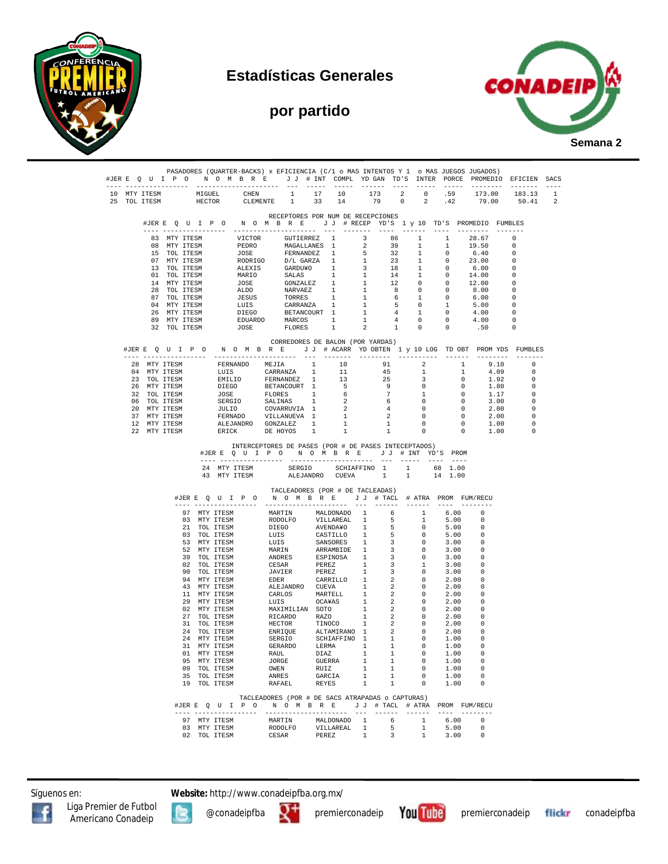

## **Estadísticas Generales**





|                              |                                                              |                              | #JERE Q U I P O N O M B R E J J # INT COMPL YDGAN TD'S INTER PORCE PROMEDIO EFICIEN SACS                                                                                                                                                                                                                                                                                                                                                                        |       |        |                                                                                |              |                         |                                                                         |              |              |                      |      |               |  |
|------------------------------|--------------------------------------------------------------|------------------------------|-----------------------------------------------------------------------------------------------------------------------------------------------------------------------------------------------------------------------------------------------------------------------------------------------------------------------------------------------------------------------------------------------------------------------------------------------------------------|-------|--------|--------------------------------------------------------------------------------|--------------|-------------------------|-------------------------------------------------------------------------|--------------|--------------|----------------------|------|---------------|--|
| 10 MTY ITESM<br>25 TOL ITESM |                                                              | MIGUEL                       | miguel Chen 1 17 10 173 2 0 59 173.00 183.13 1<br>HECTOR CLEMENTE 1 33 14 79 0 2 .42 79.00 50.41 2                                                                                                                                                                                                                                                                                                                                                              |       |        |                                                                                |              |                         |                                                                         |              |              |                      |      |               |  |
|                              |                                                              |                              |                                                                                                                                                                                                                                                                                                                                                                                                                                                                 |       |        | RECEPTORES POR NUM DE RECEPCIONES                                              |              |                         |                                                                         |              |              |                      |      |               |  |
|                              |                                                              |                              | #JERE Q U I P O N O M B R E J J # RECEP YD'S 1 y 10 TD'S PROMEDIO FUMBLES                                                                                                                                                                                                                                                                                                                                                                                       |       |        |                                                                                |              |                         | ---- ------                                                             |              |              | ---- --------        |      |               |  |
|                              |                                                              |                              | 83 MTY ITESM VICTOR GUTIERREZ 1 3 86 1 1 28.67 0                                                                                                                                                                                                                                                                                                                                                                                                                |       |        |                                                                                |              |                         |                                                                         |              |              |                      |      |               |  |
|                              |                                                              |                              |                                                                                                                                                                                                                                                                                                                                                                                                                                                                 |       |        |                                                                                |              |                         |                                                                         |              |              |                      |      |               |  |
|                              |                                                              |                              |                                                                                                                                                                                                                                                                                                                                                                                                                                                                 |       |        |                                                                                |              |                         |                                                                         |              |              |                      |      |               |  |
|                              |                                                              |                              |                                                                                                                                                                                                                                                                                                                                                                                                                                                                 |       |        |                                                                                |              |                         |                                                                         |              |              |                      |      |               |  |
|                              |                                                              |                              |                                                                                                                                                                                                                                                                                                                                                                                                                                                                 |       |        |                                                                                |              |                         |                                                                         |              |              |                      |      |               |  |
|                              |                                                              |                              |                                                                                                                                                                                                                                                                                                                                                                                                                                                                 |       |        |                                                                                |              |                         |                                                                         |              |              |                      |      |               |  |
|                              |                                                              |                              |                                                                                                                                                                                                                                                                                                                                                                                                                                                                 |       |        |                                                                                |              |                         |                                                                         |              |              |                      |      |               |  |
|                              |                                                              |                              |                                                                                                                                                                                                                                                                                                                                                                                                                                                                 |       |        |                                                                                |              |                         |                                                                         |              |              |                      |      |               |  |
|                              |                                                              |                              |                                                                                                                                                                                                                                                                                                                                                                                                                                                                 |       |        |                                                                                |              |                         |                                                                         |              |              |                      |      |               |  |
|                              |                                                              |                              |                                                                                                                                                                                                                                                                                                                                                                                                                                                                 |       |        |                                                                                |              |                         |                                                                         |              |              |                      |      |               |  |
|                              |                                                              |                              | $\begin{tabular}{cccccc} 83~MT TTESM & VICTOR & GUTIERREZ & 1 & 3 & 86 & 1 & 1 & 28.67 & 0 \\ 08~MT TTESM & PEDRO & MGALIANES & 1 & 2 & 39 & 1 & 1 & 19.50 & 0 \\ 15~TOL TTESM & PODE & PERNANDEZ & 1 & 5 & 32 & 1 & 0 & 6.40 & 0 \\ 17~MT TTESM & RODRTO & D/L GARZ & 1 & 1 & 23 & 1 & 0 & 23.00 & 0 \\ 13~TOL TTESM & RDEXIS & GARDUYO & 1 & 3 & 18$                                                                                                          |       |        |                                                                                |              |                         |                                                                         |              |              |                      |      |               |  |
|                              |                                                              |                              |                                                                                                                                                                                                                                                                                                                                                                                                                                                                 |       |        | CORREDORES DE BALON (POR YARDAS)                                               |              |                         |                                                                         |              |              |                      |      |               |  |
|                              |                                                              |                              | #JERE QUIPON OMBRE JJ # ACARR YD OBTEN 1 y 10 LOG TD OBT PROM YDS FUMBLES                                                                                                                                                                                                                                                                                                                                                                                       |       |        |                                                                                |              |                         |                                                                         |              |              |                      |      |               |  |
|                              | 28 MTY ITESM                                                 |                              | $\begin{tabular}{cccccccc} \multicolumn{4}{c}{\textbf{FERNAND}} & \multicolumn{4}{c}{\textbf{METAR}} & \multicolumn{4}{c}{\textbf{C-1}} & \multicolumn{4}{c}{\textbf{C-1}} & \multicolumn{4}{c}{\textbf{C-1}} & \multicolumn{4}{c}{\textbf{C-1}} & \multicolumn{4}{c}{\textbf{C-1}} & \multicolumn{4}{c}{\textbf{C-1}} & \multicolumn{4}{c}{\textbf{C-1}} & \multicolumn{4}{c}{\textbf{C-1}} & \multicolumn{4}{c}{\textbf{C-1}} & \multicolumn{4}{c}{\textbf{C$ |       |        |                                                                                |              |                         |                                                                         |              |              |                      | 9.10 | 0             |  |
|                              |                                                              |                              |                                                                                                                                                                                                                                                                                                                                                                                                                                                                 |       |        |                                                                                |              |                         |                                                                         |              |              |                      |      | $\Omega$      |  |
|                              | 04 MTY ITESM<br>23 TOL ITESM                                 |                              |                                                                                                                                                                                                                                                                                                                                                                                                                                                                 |       |        |                                                                                |              |                         |                                                                         |              |              | $4.09$<br>$1.92$     |      | 0             |  |
|                              | 25 IOE IIBSP<br>26 MTY ITESM<br>32 TOL ITESM<br>06 TOL ITESM |                              |                                                                                                                                                                                                                                                                                                                                                                                                                                                                 |       |        |                                                                                |              |                         |                                                                         |              |              |                      | 1.80 | $\Omega$      |  |
|                              |                                                              |                              |                                                                                                                                                                                                                                                                                                                                                                                                                                                                 |       |        |                                                                                |              |                         |                                                                         |              |              |                      | 1.17 | 0<br>$\Omega$ |  |
|                              | 06 TOL ITESM<br>20 MTY ITESM                                 |                              |                                                                                                                                                                                                                                                                                                                                                                                                                                                                 |       |        |                                                                                |              |                         |                                                                         |              |              | 3.00                 | 2.00 | 0             |  |
|                              | 37 MTY ITESM                                                 |                              |                                                                                                                                                                                                                                                                                                                                                                                                                                                                 |       |        |                                                                                |              |                         |                                                                         |              |              |                      | 2.00 | $\Omega$      |  |
|                              | 12 MTY ITESM                                                 |                              |                                                                                                                                                                                                                                                                                                                                                                                                                                                                 |       |        |                                                                                |              |                         |                                                                         |              |              |                      | 1.00 | 0             |  |
|                              | 22 MTY ITESM                                                 |                              |                                                                                                                                                                                                                                                                                                                                                                                                                                                                 |       |        |                                                                                |              |                         |                                                                         |              |              | 1.00                 |      | $\Omega$      |  |
|                              |                                                              |                              | 43 MTY ITESM<br>#JERE QUIPO NOMBRE JJ # TACL # ATRA PROM FUM/RECU                                                                                                                                                                                                                                                                                                                                                                                               |       |        | SERGIO SCHIAFFINO 1 1<br>ALEJANDRO CUEVA 1<br>TACLEADORES (POR # DE TACLEADAS) |              |                         | 1                                                                       | 14 1.00      |              |                      |      |               |  |
|                              |                                                              |                              |                                                                                                                                                                                                                                                                                                                                                                                                                                                                 |       |        |                                                                                |              |                         |                                                                         |              |              |                      |      |               |  |
|                              |                                                              |                              | 97 MTY ITESM MARTIN MALDONADO 1 6 1<br>97 MTY ITESM MARTIN MALDONADO 1 6 1 MTY ITESM RODDLFO VILLIAREAL 1 5 1 2 1 TOL ITESM LUIS CASTILLO 1 5 0 3 TOL ITESM LUIS CASTILLO 1 5 0 5 MTY ITESM LUIS SANSORES 1 3 0 5 MTY ITESM MARIN MARTIN SARRAMEIDE 1 3 0 70L ITESM                                                                                                                                                                                             |       |        |                                                                                |              |                         |                                                                         | 6.00         |              | $\Omega$<br>- 0      |      |               |  |
|                              |                                                              |                              |                                                                                                                                                                                                                                                                                                                                                                                                                                                                 |       |        |                                                                                |              |                         | $\mathbf{1}$<br>$\sim$ 0                                                |              | 5.00<br>5.00 | - 0                  |      |               |  |
|                              |                                                              |                              |                                                                                                                                                                                                                                                                                                                                                                                                                                                                 |       |        |                                                                                |              |                         |                                                                         | 5.00         |              | 0                    |      |               |  |
|                              |                                                              |                              |                                                                                                                                                                                                                                                                                                                                                                                                                                                                 |       |        |                                                                                |              |                         | $\begin{array}{ccc} 5 & & 0 \\ 3 & & 0 \end{array}$                     | 3.00         |              | - 0                  |      |               |  |
|                              |                                                              |                              |                                                                                                                                                                                                                                                                                                                                                                                                                                                                 |       |        |                                                                                |              |                         | $\overline{0}$                                                          |              | 3.00         | 0                    |      |               |  |
|                              |                                                              |                              |                                                                                                                                                                                                                                                                                                                                                                                                                                                                 |       |        |                                                                                |              |                         | $\overline{0}$<br>1                                                     | 3.00<br>3.00 |              | -0<br>- 0            |      |               |  |
|                              |                                                              |                              |                                                                                                                                                                                                                                                                                                                                                                                                                                                                 |       |        |                                                                                |              |                         | $\overline{\phantom{0}}$                                                | 3.00         |              | - 0                  |      |               |  |
|                              |                                                              |                              |                                                                                                                                                                                                                                                                                                                                                                                                                                                                 |       |        |                                                                                |              |                         | $\overline{0}$                                                          | 2.00         |              | - 0                  |      |               |  |
|                              |                                                              |                              |                                                                                                                                                                                                                                                                                                                                                                                                                                                                 |       |        |                                                                                |              |                         | $\begin{array}{ccc} 2 & & 0 \\ 2 & & 0 \\ 2 & & 0 \\ 2 & & \end{array}$ | 2.00         |              | - 0                  |      |               |  |
|                              |                                                              |                              |                                                                                                                                                                                                                                                                                                                                                                                                                                                                 |       |        |                                                                                |              |                         |                                                                         | 2.00<br>2.00 |              | 0<br>0               |      |               |  |
|                              |                                                              |                              |                                                                                                                                                                                                                                                                                                                                                                                                                                                                 |       |        |                                                                                |              |                         |                                                                         | 2.00         |              | -0                   |      |               |  |
|                              |                                                              |                              |                                                                                                                                                                                                                                                                                                                                                                                                                                                                 |       |        |                                                                                |              |                         |                                                                         | 2.00         |              | 0                    |      |               |  |
|                              |                                                              |                              |                                                                                                                                                                                                                                                                                                                                                                                                                                                                 |       |        |                                                                                |              |                         | $\overline{\phantom{0}}$                                                | 2.00         |              | $\Omega$             |      |               |  |
|                              |                                                              |                              |                                                                                                                                                                                                                                                                                                                                                                                                                                                                 |       |        |                                                                                |              |                         | $\overline{0}$<br>$\overline{0}$                                        | 2.00<br>1.00 |              | 0<br>$\Omega$        |      |               |  |
|                              |                                                              |                              |                                                                                                                                                                                                                                                                                                                                                                                                                                                                 |       |        |                                                                                |              |                         |                                                                         | 1.00         |              | 0                    |      |               |  |
|                              |                                                              | 01 MTY ITESM                 |                                                                                                                                                                                                                                                                                                                                                                                                                                                                 | RAUL  |        | DIAZ                                                                           | $\mathbf{1}$ | $\overline{1}$          | $\circ$                                                                 |              | 1.00         |                      |      |               |  |
|                              |                                                              | 95 MTY ITESM                 |                                                                                                                                                                                                                                                                                                                                                                                                                                                                 | JORGE |        | -----<br>GUERRA 1                                                              |              | $\mathbf{1}$            | $\overline{\phantom{0}}$                                                |              | 1.00         | 0                    |      |               |  |
|                              |                                                              | 09 TOL ITESM                 |                                                                                                                                                                                                                                                                                                                                                                                                                                                                 | OWEN  |        | RUIZ<br>GARCIA                                                                 | 1            | 1<br>1                  | $\overline{\mathbf{0}}$<br>$\overline{0}$                               |              | 1.00         | $\Omega$<br>$\Omega$ |      |               |  |
|                              |                                                              | 35 TOL ITESM<br>19 TOL ITESM |                                                                                                                                                                                                                                                                                                                                                                                                                                                                 | ANRES | RAFAEL | REYES 1                                                                        | 1            | 1                       | $\sim$ 0                                                                | 1.00<br>1.00 |              | $^{\circ}$           |      |               |  |
|                              |                                                              |                              |                                                                                                                                                                                                                                                                                                                                                                                                                                                                 |       |        | TACLEADORES (POR # DE SACS ATRAPADAS o CAPTURAS)                               |              |                         |                                                                         |              |              |                      |      |               |  |
|                              |                                                              |                              | #JERE QUIPO NOMBRE JJ # TACL # ATRA PROM FUM/RECU                                                                                                                                                                                                                                                                                                                                                                                                               |       |        |                                                                                |              |                         |                                                                         |              |              |                      |      |               |  |
|                              |                                                              | 97 MTY ITESM                 |                                                                                                                                                                                                                                                                                                                                                                                                                                                                 |       |        |                                                                                |              |                         | 1                                                                       | 6.00 0       |              |                      |      |               |  |
|                              |                                                              | 03 MTY ITESM                 |                                                                                                                                                                                                                                                                                                                                                                                                                                                                 |       |        | MARTIN MALDONADO 1 6<br>RODOLFO VILLAREAL 1 5                                  |              |                         | 1                                                                       | 5.00         |              | 0                    |      |               |  |
|                              |                                                              | 02 TOL ITESM                 |                                                                                                                                                                                                                                                                                                                                                                                                                                                                 |       |        | CESAR PEREZ 1                                                                  |              | $\overline{\mathbf{3}}$ | 1                                                                       | 3.00         |              | $^{\circ}$           |      |               |  |

Síguenos en: **Website:** http://www.conadeipfba.org.mx/